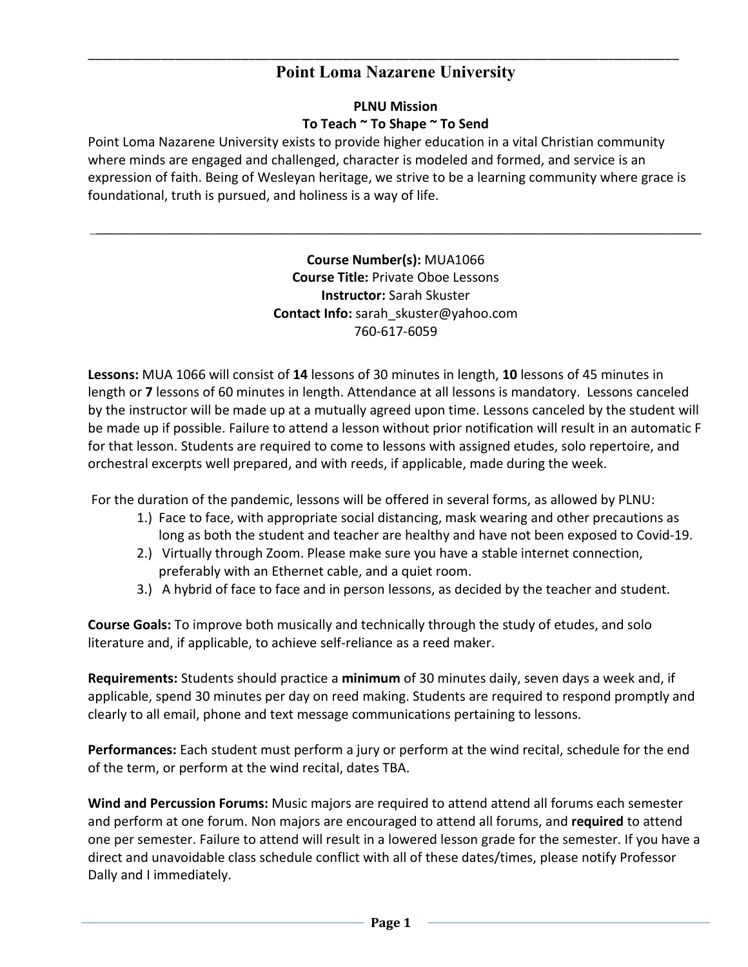# **Point Loma Nazarene University**

\_\_\_\_\_\_\_\_\_\_\_\_\_\_\_\_\_\_\_\_\_\_\_\_\_\_\_\_\_\_\_\_\_\_\_\_\_\_\_\_\_\_\_\_\_\_\_\_\_\_\_\_\_\_\_\_\_\_\_\_\_\_\_\_\_\_\_\_\_\_\_\_\_\_\_\_\_\_\_\_\_

### **PLNU Mission To Teach ~ To Shape ~ To Send**

Point Loma Nazarene University exists to provide higher education in a vital Christian community where minds are engaged and challenged, character is modeled and formed, and service is an expression of faith. Being of Wesleyan heritage, we strive to be a learning community where grace is foundational, truth is pursued, and holiness is a way of life.

> **Course Number(s):** MUA1066 **Course Title:** Private Oboe Lessons **Instructor:** Sarah Skuster **Contact Info:** sarah\_skuster@yahoo.com 760-617-6059

\_**\_\_\_\_\_\_\_\_\_\_\_\_\_\_\_\_\_\_\_\_\_\_\_\_\_\_\_\_\_\_\_\_\_\_\_\_\_\_\_\_\_\_\_\_\_\_\_\_\_\_\_\_\_\_\_\_\_\_\_\_\_\_\_\_\_\_\_\_\_\_\_\_\_\_\_\_\_\_\_\_\_\_\_\_\_\_\_\_\_\_**

**Lessons:** MUA 1066 will consist of **14** lessons of 30 minutes in length, **10** lessons of 45 minutes in length or **7** lessons of 60 minutes in length. Attendance at all lessons is mandatory. Lessons canceled by the instructor will be made up at a mutually agreed upon time. Lessons canceled by the student will be made up if possible. Failure to attend a lesson without prior notification will result in an automatic F for that lesson. Students are required to come to lessons with assigned etudes, solo repertoire, and orchestral excerpts well prepared, and with reeds, if applicable, made during the week.

For the duration of the pandemic, lessons will be offered in several forms, as allowed by PLNU:

- 1.) Face to face, with appropriate social distancing, mask wearing and other precautions as long as both the student and teacher are healthy and have not been exposed to Covid-19.
- 2.) Virtually through Zoom. Please make sure you have a stable internet connection, preferably with an Ethernet cable, and a quiet room.
- 3.) A hybrid of face to face and in person lessons, as decided by the teacher and student.

**Course Goals:** To improve both musically and technically through the study of etudes, and solo literature and, if applicable, to achieve self-reliance as a reed maker.

**Requirements:** Students should practice a **minimum** of 30 minutes daily, seven days a week and, if applicable, spend 30 minutes per day on reed making. Students are required to respond promptly and clearly to all email, phone and text message communications pertaining to lessons.

**Performances:** Each student must perform a jury or perform at the wind recital, schedule for the end of the term, or perform at the wind recital, dates TBA.

**Wind and Percussion Forums:** Music majors are required to attend attend all forums each semester and perform at one forum. Non majors are encouraged to attend all forums, and **required** to attend one per semester. Failure to attend will result in a lowered lesson grade for the semester. If you have a direct and unavoidable class schedule conflict with all of these dates/times, please notify Professor Dally and I immediately.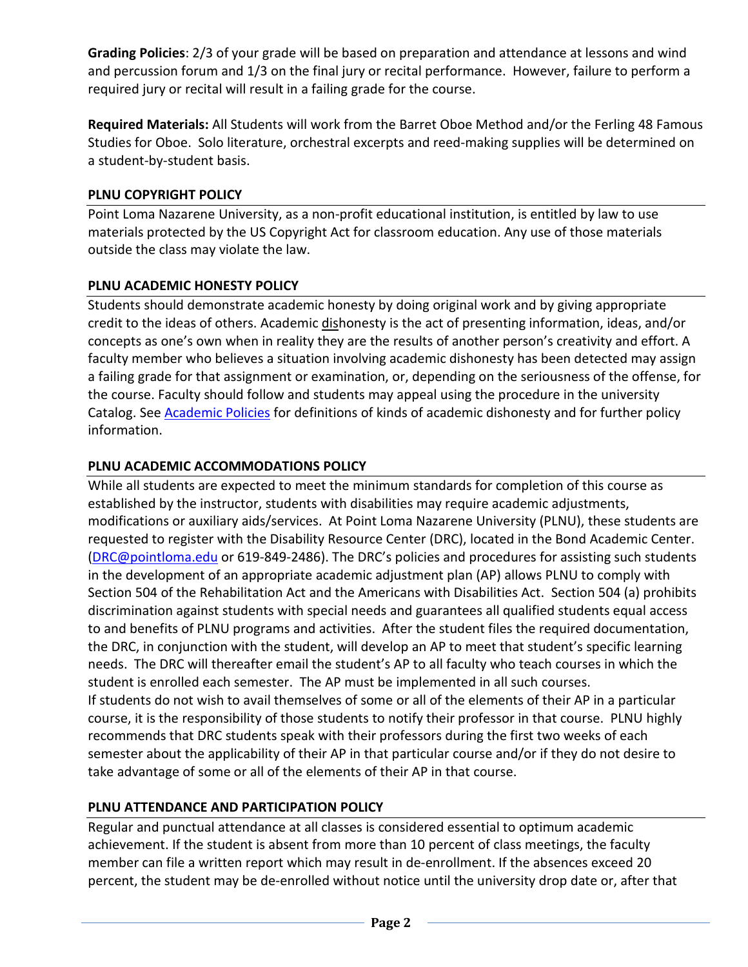**Grading Policies**: 2/3 of your grade will be based on preparation and attendance at lessons and wind and percussion forum and 1/3 on the final jury or recital performance. However, failure to perform a required jury or recital will result in a failing grade for the course.

**Required Materials:** All Students will work from the Barret Oboe Method and/or the Ferling 48 Famous Studies for Oboe. Solo literature, orchestral excerpts and reed-making supplies will be determined on a student-by-student basis.

### **PLNU COPYRIGHT POLICY**

Point Loma Nazarene University, as a non-profit educational institution, is entitled by law to use materials protected by the US Copyright Act for classroom education. Any use of those materials outside the class may violate the law.

### **PLNU ACADEMIC HONESTY POLICY**

Students should demonstrate academic honesty by doing original work and by giving appropriate credit to the ideas of others. Academic dishonesty is the act of presenting information, ideas, and/or concepts as one's own when in reality they are the results of another person's creativity and effort. A faculty member who believes a situation involving academic dishonesty has been detected may assign a failing grade for that assignment or examination, or, depending on the seriousness of the offense, for the course. Faculty should follow and students may appeal using the procedure in the university Catalog. See **Academic Policies** for definitions of kinds of academic dishonesty and for further policy information.

### **PLNU ACADEMIC ACCOMMODATIONS POLICY**

While all students are expected to meet the minimum standards for completion of this course as established by the instructor, students with disabilities may require academic adjustments, modifications or auxiliary aids/services. At Point Loma Nazarene University (PLNU), these students are requested to register with the Disability Resource Center (DRC), located in the Bond Academic Center. [\(DRC@pointloma.edu](mailto:DRC@pointloma.edu) or 619-849-2486). The DRC's policies and procedures for assisting such students in the development of an appropriate academic adjustment plan (AP) allows PLNU to comply with Section 504 of the Rehabilitation Act and the Americans with Disabilities Act. Section 504 (a) prohibits discrimination against students with special needs and guarantees all qualified students equal access to and benefits of PLNU programs and activities. After the student files the required documentation, the DRC, in conjunction with the student, will develop an AP to meet that student's specific learning needs. The DRC will thereafter email the student's AP to all faculty who teach courses in which the student is enrolled each semester. The AP must be implemented in all such courses. If students do not wish to avail themselves of some or all of the elements of their AP in a particular course, it is the responsibility of those students to notify their professor in that course. PLNU highly recommends that DRC students speak with their professors during the first two weeks of each semester about the applicability of their AP in that particular course and/or if they do not desire to take advantage of some or all of the elements of their AP in that course.

## **PLNU ATTENDANCE AND PARTICIPATION POLICY**

Regular and punctual attendance at all classes is considered essential to optimum academic achievement. If the student is absent from more than 10 percent of class meetings, the faculty member can file a written report which may result in de-enrollment. If the absences exceed 20 percent, the student may be de-enrolled without notice until the university drop date or, after that